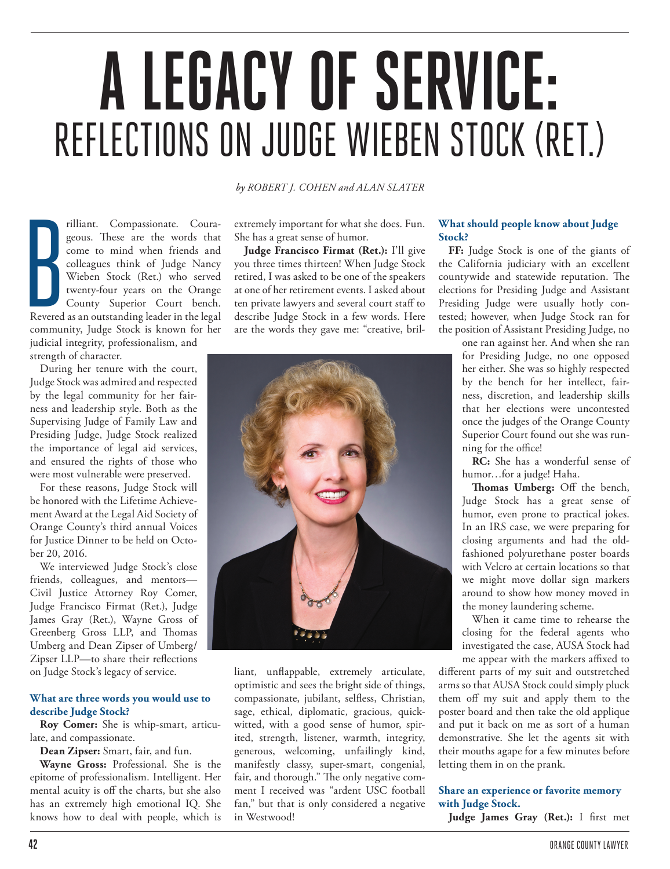# **A LEGACY OF SERVICE:**  REFLECTIONS ON JUDGE WIEBEN STOCK (RET.)

Revered rilliant. Compassionate. Courageous. These are the words that come to mind when friends and colleagues think of Judge Nancy Wieben Stock (Ret.) who served twenty-four years on the Orange County Superior Court bench. Revered as an outstanding leader in the legal community, Judge Stock is known for her judicial integrity, professionalism, and strength of character.

During her tenure with the court, Judge Stock was admired and respected by the legal community for her fairness and leadership style. Both as the Supervising Judge of Family Law and Presiding Judge, Judge Stock realized the importance of legal aid services, and ensured the rights of those who were most vulnerable were preserved.

For these reasons, Judge Stock will be honored with the Lifetime Achievement Award at the Legal Aid Society of Orange County's third annual Voices for Justice Dinner to be held on October 20, 2016.

We interviewed Judge Stock's close friends, colleagues, and mentors— Civil Justice Attorney Roy Comer, Judge Francisco Firmat (Ret.), Judge James Gray (Ret.), Wayne Gross of Greenberg Gross LLP, and Thomas Umberg and Dean Zipser of Umberg/ Zipser LLP—to share their reflections on Judge Stock's legacy of service.

### **What are three words you would use to describe Judge Stock?**

**Roy Comer:** She is whip-smart, articulate, and compassionate.

**Dean Zipser:** Smart, fair, and fun.

**Wayne Gross:** Professional. She is the epitome of professionalism. Intelligent. Her mental acuity is off the charts, but she also has an extremely high emotional IQ. She knows how to deal with people, which is *by ROBERT J. COHEN and ALAN SLATER*

extremely important for what she does. Fun. She has a great sense of humor.

**Judge Francisco Firmat (Ret.):** I'll give you three times thirteen! When Judge Stock retired, I was asked to be one of the speakers at one of her retirement events. I asked about ten private lawyers and several court staff to describe Judge Stock in a few words. Here are the words they gave me: "creative, bril-



liant, unflappable, extremely articulate, optimistic and sees the bright side of things, compassionate, jubilant, selfless, Christian, sage, ethical, diplomatic, gracious, quickwitted, with a good sense of humor, spirited, strength, listener, warmth, integrity, generous, welcoming, unfailingly kind, manifestly classy, super-smart, congenial, fair, and thorough." The only negative comment I received was "ardent USC football fan," but that is only considered a negative in Westwood!

## **What should people know about Judge Stock?**

**FF:** Judge Stock is one of the giants of the California judiciary with an excellent countywide and statewide reputation. The elections for Presiding Judge and Assistant Presiding Judge were usually hotly contested; however, when Judge Stock ran for the position of Assistant Presiding Judge, no

> one ran against her. And when she ran for Presiding Judge, no one opposed her either. She was so highly respected by the bench for her intellect, fairness, discretion, and leadership skills that her elections were uncontested once the judges of the Orange County Superior Court found out she was running for the office!

> **RC:** She has a wonderful sense of humor…for a judge! Haha.

> **Thomas Umberg:** Off the bench, Judge Stock has a great sense of humor, even prone to practical jokes. In an IRS case, we were preparing for closing arguments and had the oldfashioned polyurethane poster boards with Velcro at certain locations so that we might move dollar sign markers around to show how money moved in the money laundering scheme.

> When it came time to rehearse the closing for the federal agents who investigated the case, AUSA Stock had me appear with the markers affixed to

different parts of my suit and outstretched arms so that AUSA Stock could simply pluck them off my suit and apply them to the poster board and then take the old applique and put it back on me as sort of a human demonstrative. She let the agents sit with their mouths agape for a few minutes before letting them in on the prank.

### **Share an experience or favorite memory with Judge Stock.**

Judge James Gray (Ret.): I first met